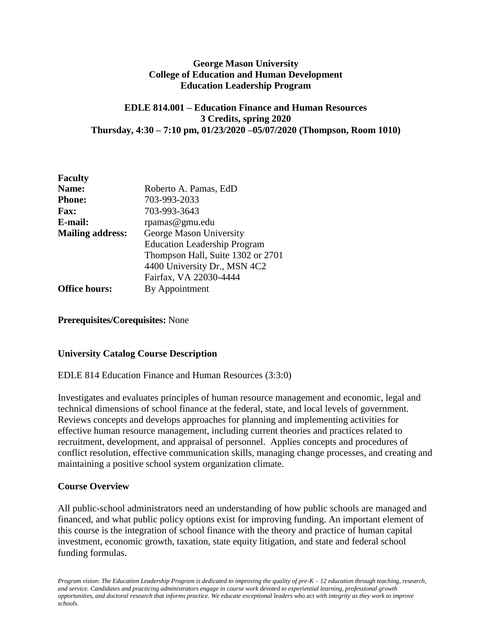## **George Mason University College of Education and Human Development Education Leadership Program**

## **EDLE 814.001 – Education Finance and Human Resources 3 Credits, spring 2020 Thursday, 4:30 – 7:10 pm, 01/23/2020 –05/07/2020 (Thompson, Room 1010)**

| <b>Faculty</b>          |                                     |
|-------------------------|-------------------------------------|
| Name:                   | Roberto A. Pamas, EdD               |
| <b>Phone:</b>           | 703-993-2033                        |
| <b>Fax:</b>             | 703-993-3643                        |
| E-mail:                 | rpamas@gmu.edu                      |
| <b>Mailing address:</b> | George Mason University             |
|                         | <b>Education Leadership Program</b> |
|                         | Thompson Hall, Suite 1302 or 2701   |
|                         | 4400 University Dr., MSN 4C2        |
|                         | Fairfax, VA 22030-4444              |
| <b>Office hours:</b>    | By Appointment                      |

**Prerequisites/Corequisites:** None

# **University Catalog Course Description**

#### EDLE 814 Education Finance and Human Resources (3:3:0)

Investigates and evaluates principles of human resource management and economic, legal and technical dimensions of school finance at the federal, state, and local levels of government. Reviews concepts and develops approaches for planning and implementing activities for effective human resource management, including current theories and practices related to recruitment, development, and appraisal of personnel. Applies concepts and procedures of conflict resolution, effective communication skills, managing change processes, and creating and maintaining a positive school system organization climate.

#### **Course Overview**

All public-school administrators need an understanding of how public schools are managed and financed, and what public policy options exist for improving funding. An important element of this course is the integration of school finance with the theory and practice of human capital investment, economic growth, taxation, state equity litigation, and state and federal school funding formulas.

*Program vision*: *The Education Leadership Program is dedicated to improving the quality of pre-K – 12 education through teaching, research, and service. Candidates and practicing administrators engage in course work devoted to experiential learning, professional growth opportunities, and doctoral research that informs practice. We educate exceptional leaders who act with integrity as they work to improve schools.*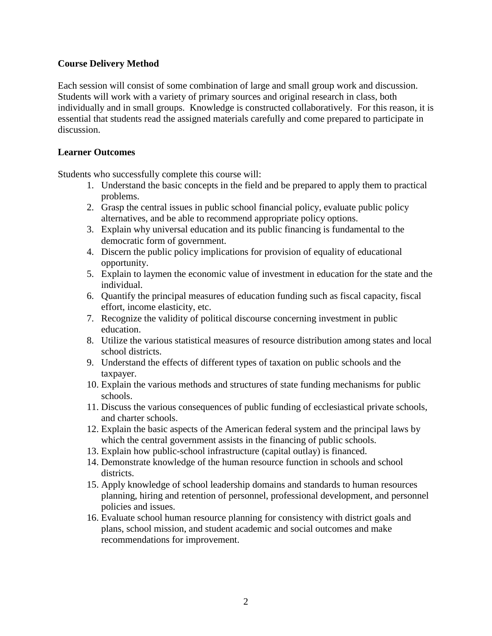## **Course Delivery Method**

Each session will consist of some combination of large and small group work and discussion. Students will work with a variety of primary sources and original research in class, both individually and in small groups. Knowledge is constructed collaboratively. For this reason, it is essential that students read the assigned materials carefully and come prepared to participate in discussion.

#### **Learner Outcomes**

Students who successfully complete this course will:

- 1. Understand the basic concepts in the field and be prepared to apply them to practical problems.
- 2. Grasp the central issues in public school financial policy, evaluate public policy alternatives, and be able to recommend appropriate policy options.
- 3. Explain why universal education and its public financing is fundamental to the democratic form of government.
- 4. Discern the public policy implications for provision of equality of educational opportunity.
- 5. Explain to laymen the economic value of investment in education for the state and the individual.
- 6. Quantify the principal measures of education funding such as fiscal capacity, fiscal effort, income elasticity, etc.
- 7. Recognize the validity of political discourse concerning investment in public education.
- 8. Utilize the various statistical measures of resource distribution among states and local school districts.
- 9. Understand the effects of different types of taxation on public schools and the taxpayer.
- 10. Explain the various methods and structures of state funding mechanisms for public schools.
- 11. Discuss the various consequences of public funding of ecclesiastical private schools, and charter schools.
- 12. Explain the basic aspects of the American federal system and the principal laws by which the central government assists in the financing of public schools.
- 13. Explain how public-school infrastructure (capital outlay) is financed.
- 14. Demonstrate knowledge of the human resource function in schools and school districts.
- 15. Apply knowledge of school leadership domains and standards to human resources planning, hiring and retention of personnel, professional development, and personnel policies and issues.
- 16. Evaluate school human resource planning for consistency with district goals and plans, school mission, and student academic and social outcomes and make recommendations for improvement.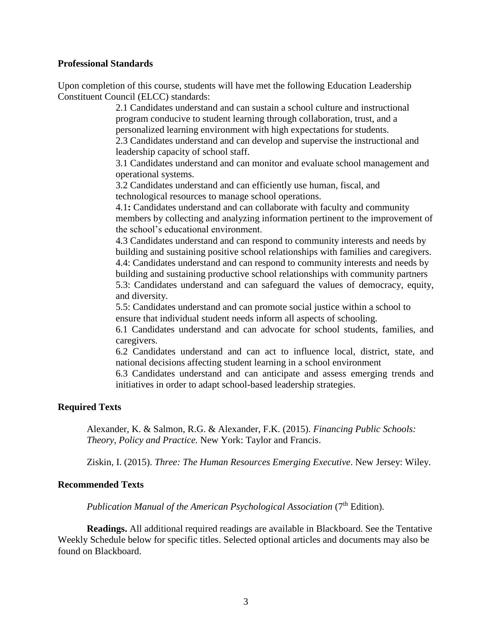#### **Professional Standards**

Upon completion of this course, students will have met the following Education Leadership Constituent Council (ELCC) standards:

> 2.1 Candidates understand and can sustain a school culture and instructional program conducive to student learning through collaboration, trust, and a personalized learning environment with high expectations for students.

2.3 Candidates understand and can develop and supervise the instructional and leadership capacity of school staff.

3.1 Candidates understand and can monitor and evaluate school management and operational systems.

3.2 Candidates understand and can efficiently use human, fiscal, and technological resources to manage school operations.

4.1**:** Candidates understand and can collaborate with faculty and community members by collecting and analyzing information pertinent to the improvement of the school's educational environment.

4.3 Candidates understand and can respond to community interests and needs by building and sustaining positive school relationships with families and caregivers. 4.4: Candidates understand and can respond to community interests and needs by building and sustaining productive school relationships with community partners 5.3: Candidates understand and can safeguard the values of democracy, equity, and diversity.

5.5: Candidates understand and can promote social justice within a school to ensure that individual student needs inform all aspects of schooling.

6.1 Candidates understand and can advocate for school students, families, and caregivers.

6.2 Candidates understand and can act to influence local, district, state, and national decisions affecting student learning in a school environment

6.3 Candidates understand and can anticipate and assess emerging trends and initiatives in order to adapt school-based leadership strategies.

#### **Required Texts**

Alexander, K. & Salmon, R.G. & Alexander, F.K. (2015). *Financing Public Schools: Theory, Policy and Practice.* New York: Taylor and Francis.

Ziskin, I. (2015). *Three: The Human Resources Emerging Executive*. New Jersey: Wiley.

#### **Recommended Texts**

*Publication Manual of the American Psychological Association* (7<sup>th</sup> Edition).

**Readings.** All additional required readings are available in Blackboard. See the Tentative Weekly Schedule below for specific titles. Selected optional articles and documents may also be found on Blackboard.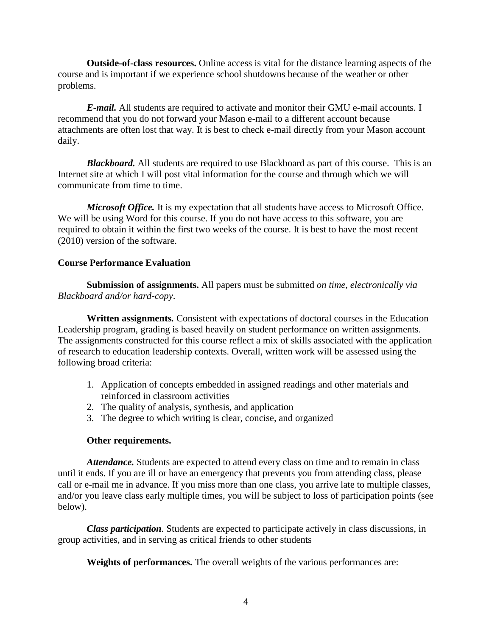**Outside-of-class resources.** Online access is vital for the distance learning aspects of the course and is important if we experience school shutdowns because of the weather or other problems.

*E-mail.* All students are required to activate and monitor their GMU e-mail accounts. I recommend that you do not forward your Mason e-mail to a different account because attachments are often lost that way. It is best to check e-mail directly from your Mason account daily.

*Blackboard.* All students are required to use Blackboard as part of this course. This is an Internet site at which I will post vital information for the course and through which we will communicate from time to time.

*Microsoft Office.* It is my expectation that all students have access to Microsoft Office. We will be using Word for this course. If you do not have access to this software, you are required to obtain it within the first two weeks of the course. It is best to have the most recent (2010) version of the software.

## **Course Performance Evaluation**

**Submission of assignments.** All papers must be submitted *on time, electronically via Blackboard and/or hard-copy*.

**Written assignments***.* Consistent with expectations of doctoral courses in the Education Leadership program, grading is based heavily on student performance on written assignments. The assignments constructed for this course reflect a mix of skills associated with the application of research to education leadership contexts. Overall, written work will be assessed using the following broad criteria:

- 1. Application of concepts embedded in assigned readings and other materials and reinforced in classroom activities
- 2. The quality of analysis, synthesis, and application
- 3. The degree to which writing is clear, concise, and organized

#### **Other requirements.**

Attendance. Students are expected to attend every class on time and to remain in class until it ends. If you are ill or have an emergency that prevents you from attending class, please call or e-mail me in advance. If you miss more than one class, you arrive late to multiple classes, and/or you leave class early multiple times, you will be subject to loss of participation points (see below).

*Class participation.* Students are expected to participate actively in class discussions, in group activities, and in serving as critical friends to other students

**Weights of performances.** The overall weights of the various performances are: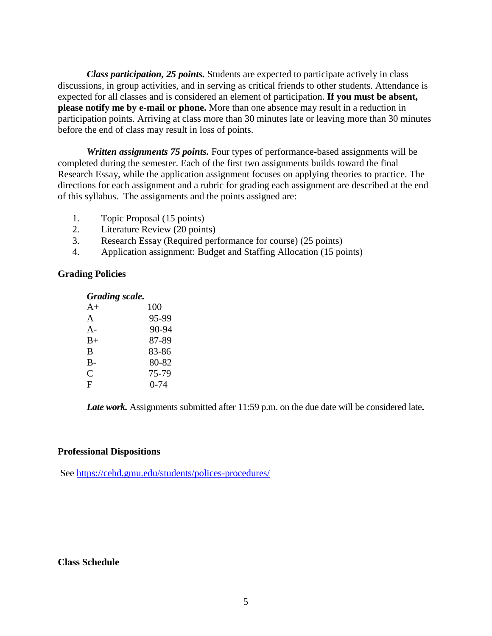*Class participation, 25 points.* Students are expected to participate actively in class discussions, in group activities, and in serving as critical friends to other students. Attendance is expected for all classes and is considered an element of participation. **If you must be absent, please notify me by e-mail or phone.** More than one absence may result in a reduction in participation points. Arriving at class more than 30 minutes late or leaving more than 30 minutes before the end of class may result in loss of points.

*Written assignments 75 points.* Four types of performance-based assignments will be completed during the semester. Each of the first two assignments builds toward the final Research Essay, while the application assignment focuses on applying theories to practice. The directions for each assignment and a rubric for grading each assignment are described at the end of this syllabus. The assignments and the points assigned are:

- 1. Topic Proposal (15 points)
- 2. Literature Review (20 points)
- 3. Research Essay (Required performance for course) (25 points)
- 4. Application assignment: Budget and Staffing Allocation (15 points)

#### **Grading Policies**

# *Grading scale.*

| $A+$         | 100      |
|--------------|----------|
| $\mathbf{A}$ | 95-99    |
| $A -$        | 90-94    |
| $B+$         | 87-89    |
| B            | 83-86    |
| $B-$         | 80-82    |
| C            | 75-79    |
| F            | $0 - 74$ |

*Late work.* Assignments submitted after 11:59 p.m. on the due date will be considered late**.**

#### **Professional Dispositions**

See<https://cehd.gmu.edu/students/polices-procedures/>

#### **Class Schedule**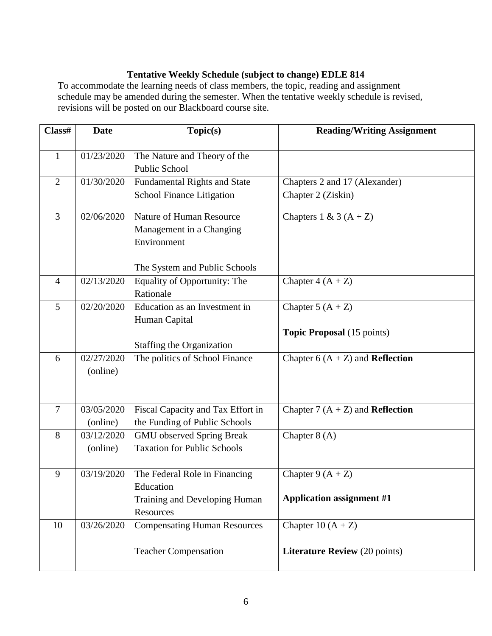# **Tentative Weekly Schedule (subject to change) EDLE 814**

To accommodate the learning needs of class members, the topic, reading and assignment schedule may be amended during the semester. When the tentative weekly schedule is revised, revisions will be posted on our Blackboard course site.

| Class#         | <b>Date</b> | Topic(s)                            | <b>Reading/Writing Assignment</b>         |
|----------------|-------------|-------------------------------------|-------------------------------------------|
| $\mathbf{1}$   | 01/23/2020  | The Nature and Theory of the        |                                           |
|                |             | <b>Public School</b>                |                                           |
| $\overline{2}$ | 01/30/2020  | Fundamental Rights and State        | Chapters 2 and 17 (Alexander)             |
|                |             | <b>School Finance Litigation</b>    | Chapter 2 (Ziskin)                        |
| 3              | 02/06/2020  | Nature of Human Resource            | Chapters 1 & 3 $(A + Z)$                  |
|                |             | Management in a Changing            |                                           |
|                |             | Environment                         |                                           |
|                |             | The System and Public Schools       |                                           |
| $\overline{4}$ | 02/13/2020  | Equality of Opportunity: The        | Chapter $4(A + Z)$                        |
|                |             | Rationale                           |                                           |
| 5              | 02/20/2020  | Education as an Investment in       | Chapter 5 $(A + Z)$                       |
|                |             | Human Capital                       |                                           |
|                |             |                                     | <b>Topic Proposal</b> (15 points)         |
|                | 02/27/2020  | <b>Staffing the Organization</b>    |                                           |
| 6              |             | The politics of School Finance      | Chapter 6 $(A + Z)$ and <b>Reflection</b> |
|                | (online)    |                                     |                                           |
|                |             |                                     |                                           |
| $\overline{7}$ | 03/05/2020  | Fiscal Capacity and Tax Effort in   | Chapter 7 $(A + Z)$ and <b>Reflection</b> |
|                | (online)    | the Funding of Public Schools       |                                           |
| 8              | 03/12/2020  | <b>GMU</b> observed Spring Break    | Chapter $8(A)$                            |
|                | (online)    | <b>Taxation for Public Schools</b>  |                                           |
| 9              | 03/19/2020  | The Federal Role in Financing       | Chapter 9 $(A + Z)$                       |
|                |             | Education                           |                                           |
|                |             | Training and Developing Human       | <b>Application assignment #1</b>          |
|                |             | Resources                           |                                           |
| 10             | 03/26/2020  | <b>Compensating Human Resources</b> | Chapter 10 $(A + Z)$                      |
|                |             |                                     |                                           |
|                |             | <b>Teacher Compensation</b>         | <b>Literature Review</b> (20 points)      |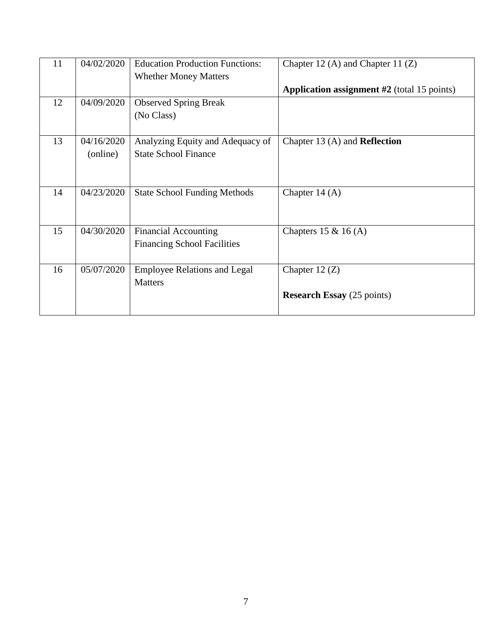| 11 | 04/02/2020 | <b>Education Production Functions:</b> | Chapter 12 (A) and Chapter 11 $(Z)$                  |
|----|------------|----------------------------------------|------------------------------------------------------|
|    |            | <b>Whether Money Matters</b>           |                                                      |
|    |            |                                        | <b>Application assignment</b> $#2$ (total 15 points) |
| 12 | 04/09/2020 | <b>Observed Spring Break</b>           |                                                      |
|    |            | (No Class)                             |                                                      |
|    |            |                                        |                                                      |
| 13 | 04/16/2020 | Analyzing Equity and Adequacy of       | Chapter 13 $(A)$ and <b>Reflection</b>               |
|    | (online)   | <b>State School Finance</b>            |                                                      |
|    |            |                                        |                                                      |
|    |            |                                        |                                                      |
| 14 | 04/23/2020 | <b>State School Funding Methods</b>    | Chapter $14(A)$                                      |
|    |            |                                        |                                                      |
|    |            |                                        |                                                      |
| 15 | 04/30/2020 | <b>Financial Accounting</b>            | Chapters 15 & 16 $(A)$                               |
|    |            | <b>Financing School Facilities</b>     |                                                      |
|    |            |                                        |                                                      |
| 16 | 05/07/2020 | <b>Employee Relations and Legal</b>    | Chapter $12(Z)$                                      |
|    |            | <b>Matters</b>                         |                                                      |
|    |            |                                        | <b>Research Essay</b> (25 points)                    |
|    |            |                                        |                                                      |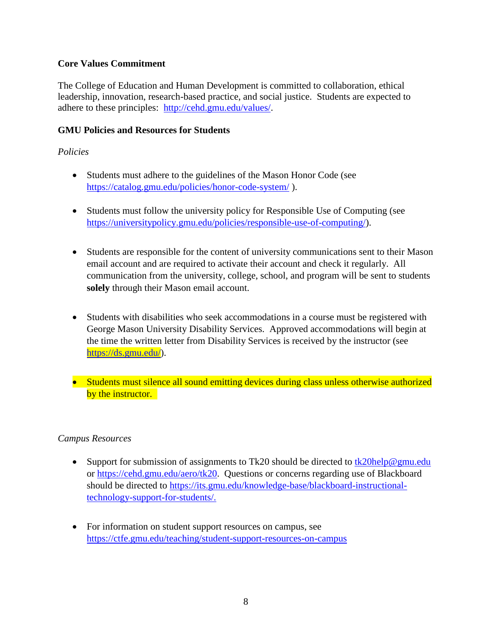# **Core Values Commitment**

The College of Education and Human Development is committed to collaboration, ethical leadership, innovation, research-based practice, and social justice. Students are expected to adhere to these principles: [http://cehd.gmu.edu/values/.](http://cehd.gmu.edu/values/)

# **GMU Policies and Resources for Students**

# *Policies*

- Students must adhere to the guidelines of the Mason Honor Code (see <https://catalog.gmu.edu/policies/honor-code-system/> ).
- Students must follow the university policy for Responsible Use of Computing (see [https://universitypolicy.gmu.edu/policies/responsible-use-of-computing/\)](https://universitypolicy.gmu.edu/policies/responsible-use-of-computing/).
- Students are responsible for the content of university communications sent to their Mason email account and are required to activate their account and check it regularly. All communication from the university, college, school, and program will be sent to students **solely** through their Mason email account.
- Students with disabilities who seek accommodations in a course must be registered with George Mason University Disability Services. Approved accommodations will begin at the time the written letter from Disability Services is received by the instructor (see [https://ds.gmu.edu/\)](https://ds.gmu.edu/).
- Students must silence all sound emitting devices during class unless otherwise authorized by the instructor.

# *Campus Resources*

- Support for submission of assignments to Tk20 should be directed to [tk20help@gmu.edu](mailto:tk20help@gmu.edu) or [https://cehd.gmu.edu/aero/tk20.](https://cehd.gmu.edu/aero/tk20) Questions or concerns regarding use of Blackboard should be directed to https://its.gmu.edu/knowledge-base/blackboard-instructionaltechnology-support-for-students/.
- For information on student support resources on campus, see <https://ctfe.gmu.edu/teaching/student-support-resources-on-campus>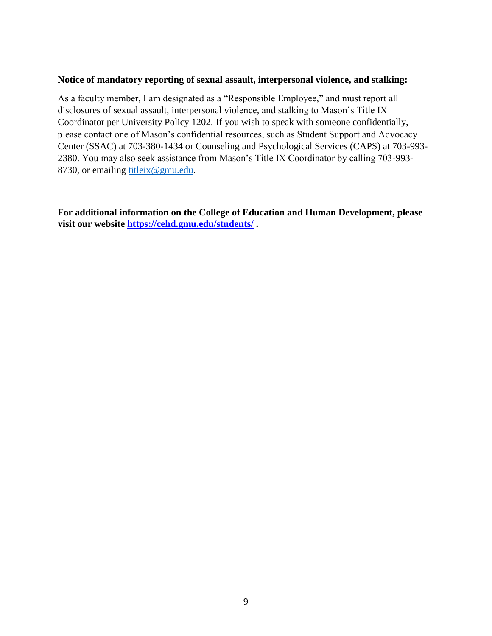#### **Notice of mandatory reporting of sexual assault, interpersonal violence, and stalking:**

As a faculty member, I am designated as a "Responsible Employee," and must report all disclosures of sexual assault, interpersonal violence, and stalking to Mason's Title IX Coordinator per University Policy 1202. If you wish to speak with someone confidentially, please contact one of Mason's confidential resources, such as Student Support and Advocacy Center (SSAC) at 703-380-1434 or Counseling and Psychological Services (CAPS) at 703-993- 2380. You may also seek assistance from Mason's Title IX Coordinator by calling 703-993 8730, or emailing [titleix@gmu.edu.](mailto:titleix@gmu.edu)

**For additional information on the College of Education and Human Development, please visit our website<https://cehd.gmu.edu/students/> .**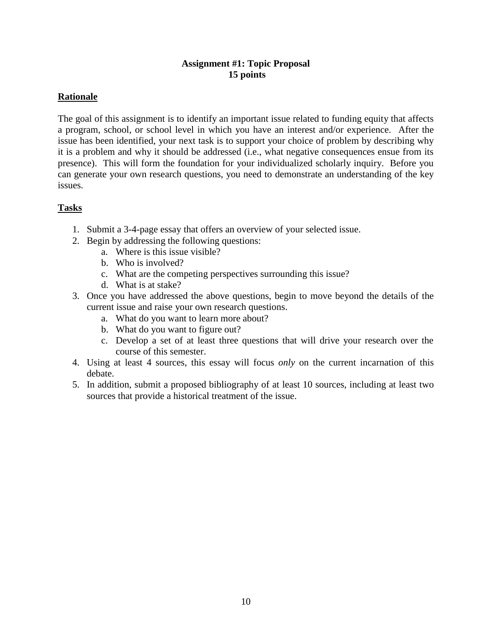# **Assignment #1: Topic Proposal 15 points**

# **Rationale**

The goal of this assignment is to identify an important issue related to funding equity that affects a program, school, or school level in which you have an interest and/or experience. After the issue has been identified, your next task is to support your choice of problem by describing why it is a problem and why it should be addressed (i.e., what negative consequences ensue from its presence). This will form the foundation for your individualized scholarly inquiry. Before you can generate your own research questions, you need to demonstrate an understanding of the key issues.

# **Tasks**

- 1. Submit a 3-4-page essay that offers an overview of your selected issue.
- 2. Begin by addressing the following questions:
	- a. Where is this issue visible?
	- b. Who is involved?
	- c. What are the competing perspectives surrounding this issue?
	- d. What is at stake?
- 3. Once you have addressed the above questions, begin to move beyond the details of the current issue and raise your own research questions.
	- a. What do you want to learn more about?
	- b. What do you want to figure out?
	- c. Develop a set of at least three questions that will drive your research over the course of this semester.
- 4. Using at least 4 sources, this essay will focus *only* on the current incarnation of this debate.
- 5. In addition, submit a proposed bibliography of at least 10 sources, including at least two sources that provide a historical treatment of the issue.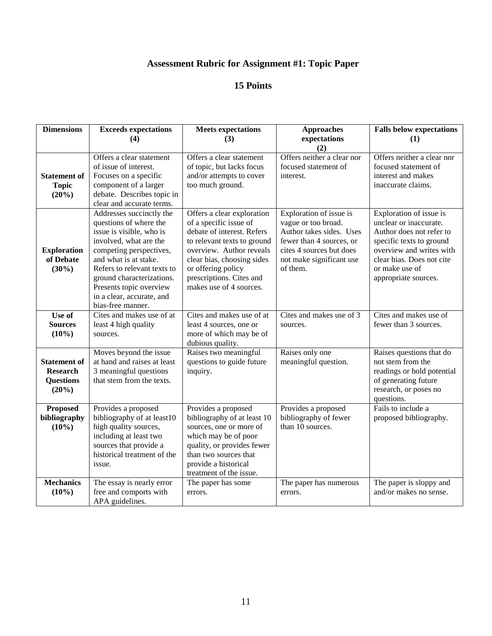# **Assessment Rubric for Assignment #1: Topic Paper**

| <b>Dimensions</b>                                                   | <b>Exceeds expectations</b>                                                                                                                                                                                                                                                                           | <b>Meets expectations</b>                                                                                                                                                                                                                                | <b>Approaches</b>                                                                                                                                                          | <b>Falls below expectations</b>                                                                                                                                                                              |
|---------------------------------------------------------------------|-------------------------------------------------------------------------------------------------------------------------------------------------------------------------------------------------------------------------------------------------------------------------------------------------------|----------------------------------------------------------------------------------------------------------------------------------------------------------------------------------------------------------------------------------------------------------|----------------------------------------------------------------------------------------------------------------------------------------------------------------------------|--------------------------------------------------------------------------------------------------------------------------------------------------------------------------------------------------------------|
|                                                                     | (4)                                                                                                                                                                                                                                                                                                   | (3)                                                                                                                                                                                                                                                      | expectations<br>(2)                                                                                                                                                        | (1)                                                                                                                                                                                                          |
| <b>Statement of</b><br><b>Topic</b><br>(20%)                        | Offers a clear statement<br>of issue of interest.<br>Focuses on a specific<br>component of a larger<br>debate. Describes topic in<br>clear and accurate terms.                                                                                                                                        | Offers a clear statement<br>of topic, but lacks focus<br>and/or attempts to cover<br>too much ground.                                                                                                                                                    | Offers neither a clear nor<br>focused statement of<br>interest.                                                                                                            | Offers neither a clear nor<br>focused statement of<br>interest and makes<br>inaccurate claims.                                                                                                               |
| <b>Exploration</b><br>of Debate<br>$(30\%)$                         | Addresses succinctly the<br>questions of where the<br>issue is visible, who is<br>involved, what are the<br>competing perspectives,<br>and what is at stake.<br>Refers to relevant texts to<br>ground characterizations.<br>Presents topic overview<br>in a clear, accurate, and<br>bias-free manner. | Offers a clear exploration<br>of a specific issue of<br>debate of interest. Refers<br>to relevant texts to ground<br>overview. Author reveals<br>clear bias, choosing sides<br>or offering policy<br>prescriptions. Cites and<br>makes use of 4 sources. | Exploration of issue is<br>vague or too broad.<br>Author takes sides. Uses<br>fewer than 4 sources, or<br>cites 4 sources but does<br>not make significant use<br>of them. | Exploration of issue is<br>unclear or inaccurate.<br>Author does not refer to<br>specific texts to ground<br>overview and writes with<br>clear bias. Does not cite<br>or make use of<br>appropriate sources. |
| Use of<br><b>Sources</b><br>$(10\%)$                                | Cites and makes use of at<br>least 4 high quality<br>sources.                                                                                                                                                                                                                                         | Cites and makes use of at<br>least 4 sources, one or<br>more of which may be of<br>dubious quality.                                                                                                                                                      | Cites and makes use of 3<br>sources.                                                                                                                                       | Cites and makes use of<br>fewer than 3 sources.                                                                                                                                                              |
| <b>Statement of</b><br><b>Research</b><br><b>Questions</b><br>(20%) | Moves beyond the issue<br>at hand and raises at least<br>3 meaningful questions<br>that stem from the texts.                                                                                                                                                                                          | Raises two meaningful<br>questions to guide future<br>inquiry.                                                                                                                                                                                           | Raises only one<br>meaningful question.                                                                                                                                    | Raises questions that do<br>not stem from the<br>readings or hold potential<br>of generating future<br>research, or poses no<br>questions.                                                                   |
| <b>Proposed</b><br>bibliography<br>$(10\%)$                         | Provides a proposed<br>bibliography of at least10<br>high quality sources,<br>including at least two<br>sources that provide a<br>historical treatment of the<br>issue.                                                                                                                               | Provides a proposed<br>bibliography of at least 10<br>sources, one or more of<br>which may be of poor<br>quality, or provides fewer<br>than two sources that<br>provide a historical<br>treatment of the issue.                                          | Provides a proposed<br>bibliography of fewer<br>than 10 sources.                                                                                                           | Fails to include a<br>proposed bibliography.                                                                                                                                                                 |
| <b>Mechanics</b><br>$(10\%)$                                        | The essay is nearly error<br>free and comports with<br>APA guidelines.                                                                                                                                                                                                                                | The paper has some<br>errors.                                                                                                                                                                                                                            | The paper has numerous<br>errors.                                                                                                                                          | The paper is sloppy and<br>and/or makes no sense.                                                                                                                                                            |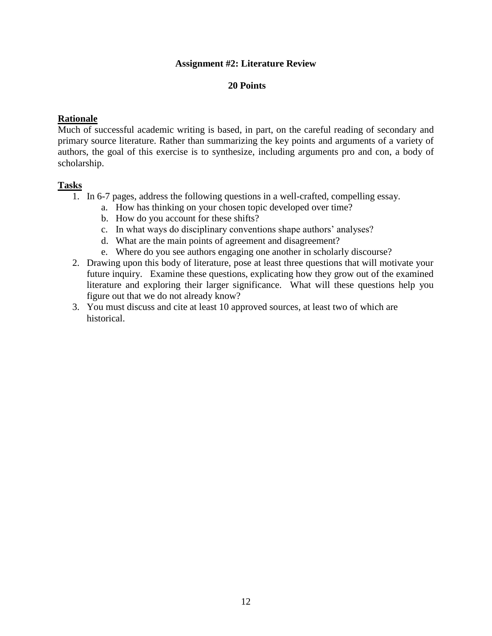## **Assignment #2: Literature Review**

### **20 Points**

### **Rationale**

Much of successful academic writing is based, in part, on the careful reading of secondary and primary source literature. Rather than summarizing the key points and arguments of a variety of authors, the goal of this exercise is to synthesize, including arguments pro and con, a body of scholarship.

#### **Tasks**

- $\overline{1}$ . In 6-7 pages, address the following questions in a well-crafted, compelling essay.
	- a. How has thinking on your chosen topic developed over time?
	- b. How do you account for these shifts?
	- c. In what ways do disciplinary conventions shape authors' analyses?
	- d. What are the main points of agreement and disagreement?
	- e. Where do you see authors engaging one another in scholarly discourse?
- 2. Drawing upon this body of literature, pose at least three questions that will motivate your future inquiry. Examine these questions, explicating how they grow out of the examined literature and exploring their larger significance. What will these questions help you figure out that we do not already know?
- 3. You must discuss and cite at least 10 approved sources, at least two of which are historical.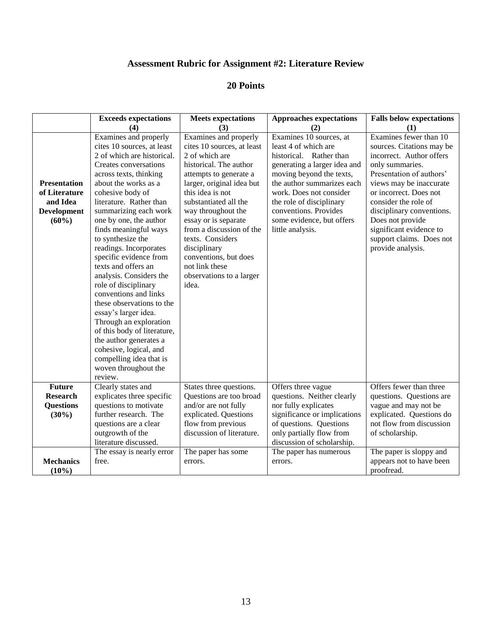# **Assessment Rubric for Assignment #2: Literature Review**

|                                                                                    | <b>Exceeds expectations</b>                                                                                                                                                                                                                                                                                                                                                                                                                                                                                                                                                                                                                                                                         | <b>Meets expectations</b>                                                                                                                                                                                                                                                                                                                                                                         | <b>Approaches expectations</b>                                                                                                                                                                                                                                                                        | <b>Falls below expectations</b>                                                                                                                                                                                                                                                                                                          |
|------------------------------------------------------------------------------------|-----------------------------------------------------------------------------------------------------------------------------------------------------------------------------------------------------------------------------------------------------------------------------------------------------------------------------------------------------------------------------------------------------------------------------------------------------------------------------------------------------------------------------------------------------------------------------------------------------------------------------------------------------------------------------------------------------|---------------------------------------------------------------------------------------------------------------------------------------------------------------------------------------------------------------------------------------------------------------------------------------------------------------------------------------------------------------------------------------------------|-------------------------------------------------------------------------------------------------------------------------------------------------------------------------------------------------------------------------------------------------------------------------------------------------------|------------------------------------------------------------------------------------------------------------------------------------------------------------------------------------------------------------------------------------------------------------------------------------------------------------------------------------------|
|                                                                                    | (4)                                                                                                                                                                                                                                                                                                                                                                                                                                                                                                                                                                                                                                                                                                 | (3)                                                                                                                                                                                                                                                                                                                                                                                               | (2)                                                                                                                                                                                                                                                                                                   | (1)                                                                                                                                                                                                                                                                                                                                      |
| <b>Presentation</b><br>of Literature<br>and Idea<br><b>Development</b><br>$(60\%)$ | Examines and properly<br>cites 10 sources, at least<br>2 of which are historical.<br>Creates conversations<br>across texts, thinking<br>about the works as a<br>cohesive body of<br>literature. Rather than<br>summarizing each work<br>one by one, the author<br>finds meaningful ways<br>to synthesize the<br>readings. Incorporates<br>specific evidence from<br>texts and offers an<br>analysis. Considers the<br>role of disciplinary<br>conventions and links<br>these observations to the<br>essay's larger idea.<br>Through an exploration<br>of this body of literature,<br>the author generates a<br>cohesive, logical, and<br>compelling idea that is<br>woven throughout the<br>review. | Examines and properly<br>cites 10 sources, at least<br>2 of which are<br>historical. The author<br>attempts to generate a<br>larger, original idea but<br>this idea is not<br>substantiated all the<br>way throughout the<br>essay or is separate<br>from a discussion of the<br>texts. Considers<br>disciplinary<br>conventions, but does<br>not link these<br>observations to a larger<br>idea. | Examines 10 sources, at<br>least 4 of which are<br>historical. Rather than<br>generating a larger idea and<br>moving beyond the texts,<br>the author summarizes each<br>work. Does not consider<br>the role of disciplinary<br>conventions. Provides<br>some evidence, but offers<br>little analysis. | Examines fewer than 10<br>sources. Citations may be<br>incorrect. Author offers<br>only summaries.<br>Presentation of authors'<br>views may be inaccurate<br>or incorrect. Does not<br>consider the role of<br>disciplinary conventions.<br>Does not provide<br>significant evidence to<br>support claims. Does not<br>provide analysis. |
| <b>Future</b><br><b>Research</b><br><b>Questions</b><br>$(30\%)$                   | Clearly states and<br>explicates three specific<br>questions to motivate<br>further research. The<br>questions are a clear<br>outgrowth of the<br>literature discussed.                                                                                                                                                                                                                                                                                                                                                                                                                                                                                                                             | States three questions.<br>Questions are too broad<br>and/or are not fully<br>explicated. Questions<br>flow from previous<br>discussion of literature.                                                                                                                                                                                                                                            | Offers three vague<br>questions. Neither clearly<br>nor fully explicates<br>significance or implications<br>of questions. Questions<br>only partially flow from<br>discussion of scholarship.                                                                                                         | Offers fewer than three<br>questions. Questions are<br>vague and may not be<br>explicated. Questions do<br>not flow from discussion<br>of scholarship.                                                                                                                                                                                   |
| <b>Mechanics</b><br>$(10\%)$                                                       | The essay is nearly error<br>free.                                                                                                                                                                                                                                                                                                                                                                                                                                                                                                                                                                                                                                                                  | The paper has some<br>errors.                                                                                                                                                                                                                                                                                                                                                                     | The paper has numerous<br>errors.                                                                                                                                                                                                                                                                     | The paper is sloppy and<br>appears not to have been<br>proofread.                                                                                                                                                                                                                                                                        |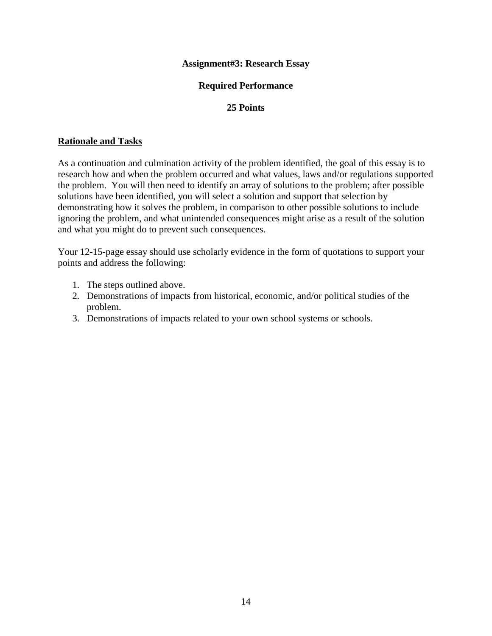## **Assignment#3: Research Essay**

## **Required Performance**

## **25 Points**

### **Rationale and Tasks**

As a continuation and culmination activity of the problem identified, the goal of this essay is to research how and when the problem occurred and what values, laws and/or regulations supported the problem. You will then need to identify an array of solutions to the problem; after possible solutions have been identified, you will select a solution and support that selection by demonstrating how it solves the problem, in comparison to other possible solutions to include ignoring the problem, and what unintended consequences might arise as a result of the solution and what you might do to prevent such consequences.

Your 12-15-page essay should use scholarly evidence in the form of quotations to support your points and address the following:

- 1. The steps outlined above.
- 2. Demonstrations of impacts from historical, economic, and/or political studies of the problem.
- 3. Demonstrations of impacts related to your own school systems or schools.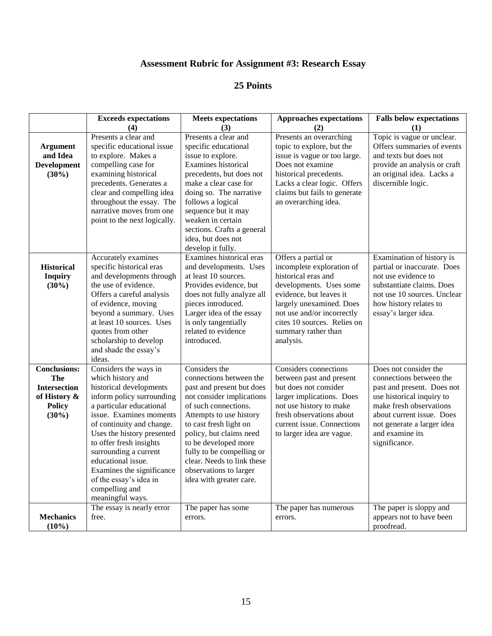# **Assessment Rubric for Assignment #3: Research Essay**

|                                                                                                       | <b>Exceeds expectations</b><br>(4)                                                                                                                                                                                                                                                                                                                                                          | <b>Meets</b> expectations<br>(3)                                                                                                                                                                                                                                                                                                                   | <b>Approaches expectations</b><br>(2)                                                                                                                                                                                                                      | <b>Falls below expectations</b><br>(1)                                                                                                                                                                                                |
|-------------------------------------------------------------------------------------------------------|---------------------------------------------------------------------------------------------------------------------------------------------------------------------------------------------------------------------------------------------------------------------------------------------------------------------------------------------------------------------------------------------|----------------------------------------------------------------------------------------------------------------------------------------------------------------------------------------------------------------------------------------------------------------------------------------------------------------------------------------------------|------------------------------------------------------------------------------------------------------------------------------------------------------------------------------------------------------------------------------------------------------------|---------------------------------------------------------------------------------------------------------------------------------------------------------------------------------------------------------------------------------------|
| <b>Argument</b><br>and Idea<br><b>Development</b><br>$(30\%)$                                         | Presents a clear and<br>specific educational issue<br>to explore. Makes a<br>compelling case for<br>examining historical<br>precedents. Generates a<br>clear and compelling idea<br>throughout the essay. The<br>narrative moves from one<br>point to the next logically.                                                                                                                   | Presents a clear and<br>specific educational<br>issue to explore.<br>Examines historical<br>precedents, but does not<br>make a clear case for<br>doing so. The narrative<br>follows a logical<br>sequence but it may<br>weaken in certain<br>sections. Crafts a general<br>idea, but does not<br>develop it fully.                                 | Presents an overarching<br>topic to explore, but the<br>issue is vague or too large.<br>Does not examine<br>historical precedents.<br>Lacks a clear logic. Offers<br>claims but fails to generate<br>an overarching idea.                                  | Topic is vague or unclear.<br>Offers summaries of events<br>and texts but does not<br>provide an analysis or craft<br>an original idea. Lacks a<br>discernible logic.                                                                 |
| <b>Historical</b><br><b>Inquiry</b><br>(30%)                                                          | Accurately examines<br>specific historical eras<br>and developments through<br>the use of evidence.<br>Offers a careful analysis<br>of evidence, moving<br>beyond a summary. Uses<br>at least 10 sources. Uses<br>quotes from other<br>scholarship to develop<br>and shade the essay's<br>ideas.                                                                                            | Examines historical eras<br>and developments. Uses<br>at least 10 sources.<br>Provides evidence, but<br>does not fully analyze all<br>pieces introduced.<br>Larger idea of the essay<br>is only tangentially<br>related to evidence<br>introduced.                                                                                                 | Offers a partial or<br>incomplete exploration of<br>historical eras and<br>developments. Uses some<br>evidence, but leaves it<br>largely unexamined. Does<br>not use and/or incorrectly<br>cites 10 sources. Relies on<br>summary rather than<br>analysis. | Examination of history is<br>partial or inaccurate. Does<br>not use evidence to<br>substantiate claims. Does<br>not use 10 sources. Unclear<br>how history relates to<br>essay's larger idea.                                         |
| <b>Conclusions:</b><br><b>The</b><br><b>Intersection</b><br>of History &<br><b>Policy</b><br>$(30\%)$ | Considers the ways in<br>which history and<br>historical developments<br>inform policy surrounding<br>a particular educational<br>issue. Examines moments<br>of continuity and change.<br>Uses the history presented<br>to offer fresh insights<br>surrounding a current<br>educational issue.<br>Examines the significance<br>of the essay's idea in<br>compelling and<br>meaningful ways. | Considers the<br>connections between the<br>past and present but does<br>not consider implications<br>of such connections.<br>Attempts to use history<br>to cast fresh light on<br>policy, but claims need<br>to be developed more<br>fully to be compelling or<br>clear. Needs to link these<br>observations to larger<br>idea with greater care. | Considers connections<br>between past and present<br>but does not consider<br>larger implications. Does<br>not use history to make<br>fresh observations about<br>current issue. Connections<br>to larger idea are vague.                                  | Does not consider the<br>connections between the<br>past and present. Does not<br>use historical inquiry to<br>make fresh observations<br>about current issue. Does<br>not generate a larger idea<br>and examine its<br>significance. |
| <b>Mechanics</b><br>(10%)                                                                             | The essay is nearly error<br>free.                                                                                                                                                                                                                                                                                                                                                          | The paper has some<br>errors.                                                                                                                                                                                                                                                                                                                      | The paper has numerous<br>errors.                                                                                                                                                                                                                          | The paper is sloppy and<br>appears not to have been<br>proofread.                                                                                                                                                                     |